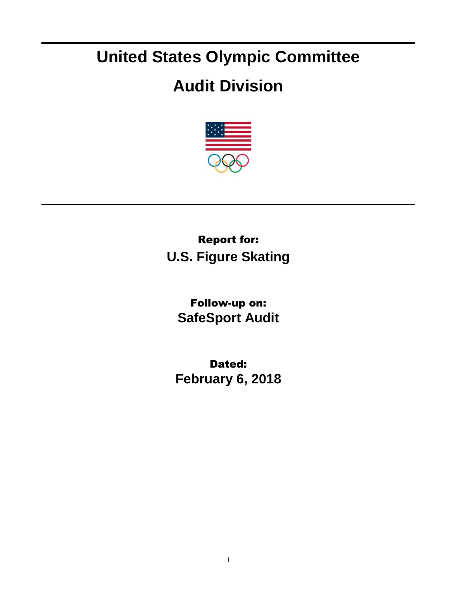## **United States Olympic Committee**

## **Audit Division**



Report for: **U.S. Figure Skating**

Follow-up on: **SafeSport Audit**

Dated: **February 6, 2018**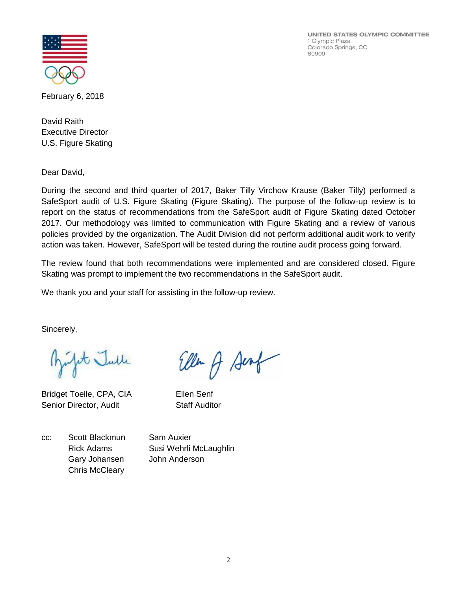UNITED STATES OLYMPIC COMMITTEE 1 Olympic Plaza Colorado Springs, CO 80909



February 6, 2018

David Raith Executive Director U.S. Figure Skating

Dear David,

During the second and third quarter of 2017, Baker Tilly Virchow Krause (Baker Tilly) performed a SafeSport audit of U.S. Figure Skating (Figure Skating). The purpose of the follow-up review is to report on the status of recommendations from the SafeSport audit of Figure Skating dated October 2017. Our methodology was limited to communication with Figure Skating and a review of various policies provided by the organization. The Audit Division did not perform additional audit work to verify action was taken. However, SafeSport will be tested during the routine audit process going forward.

The review found that both recommendations were implemented and are considered closed. Figure Skating was prompt to implement the two recommendations in the SafeSport audit.

Ellen A Sent

We thank you and your staff for assisting in the follow-up review.

Sincerely,

Julit Julle

Bridget Toelle, CPA, CIA Ellen Senf Senior Director, Audit Staff Auditor

cc: Scott Blackmun Sam Auxier Gary Johansen John Anderson Chris McCleary

Rick Adams Susi Wehrli McLaughlin